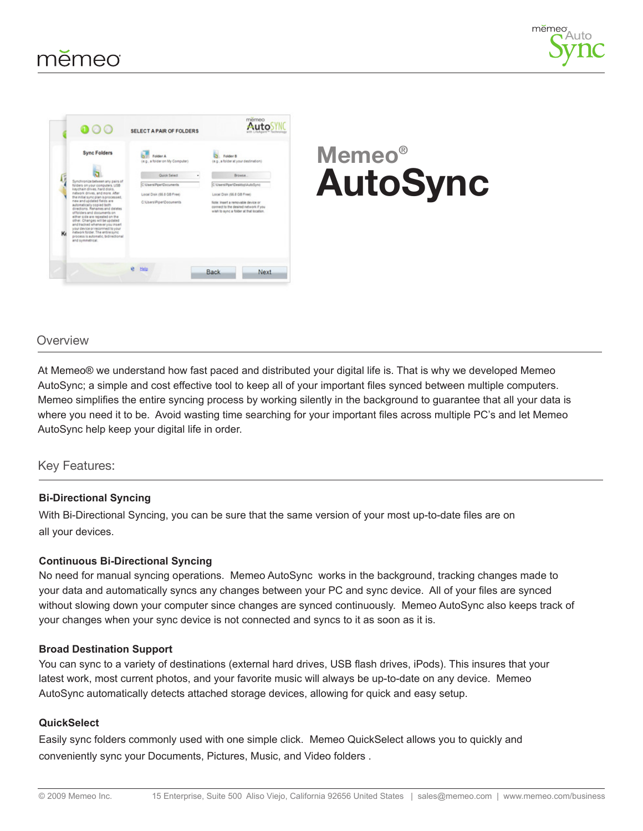



# **Memeo® AutoSync**

## Overview

At Memeo® we understand how fast paced and distributed your digital life is. That is why we developed Memeo AutoSync; a simple and cost effective tool to keep all of your important files synced between multiple computers. Memeo simplifies the entire syncing process by working silently in the background to guarantee that all your data is where you need it to be. Avoid wasting time searching for your important files across multiple PC's and let Memeo AutoSync help keep your digital life in order.

### Key Features:

### **Bi-Directional Syncing**

With Bi-Directional Syncing, you can be sure that the same version of your most up-to-date files are on all your devices.

### **Continuous Bi-Directional Syncing**

No need for manual syncing operations. Memeo AutoSync works in the background, tracking changes made to your data and automatically syncs any changes between your PC and sync device. All of your files are synced without slowing down your computer since changes are synced continuously. Memeo AutoSync also keeps track of your changes when your sync device is not connected and syncs to it as soon as it is.

### **Broad Destination Support**

You can sync to a variety of destinations (external hard drives, USB flash drives, iPods). This insures that your latest work, most current photos, and your favorite music will always be up-to-date on any device. Memeo AutoSync automatically detects attached storage devices, allowing for quick and easy setup.

### **QuickSelect**

Easily sync folders commonly used with one simple click. Memeo QuickSelect allows you to quickly and conveniently sync your Documents, Pictures, Music, and Video folders .